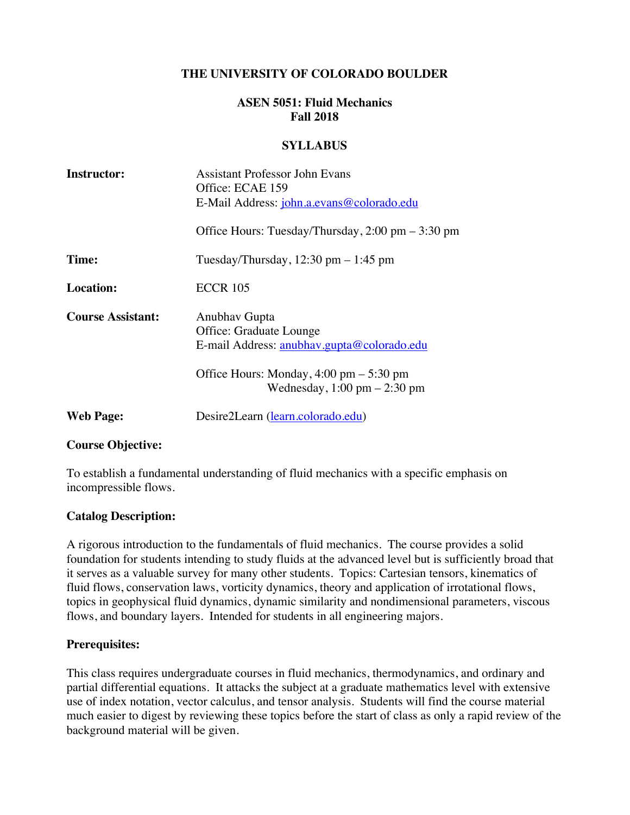### **THE UNIVERSITY OF COLORADO BOULDER**

### **ASEN 5051: Fluid Mechanics Fall 2018**

#### **SYLLABUS**

| <b>Instructor:</b>       | Assistant Professor John Evans                                                                              |
|--------------------------|-------------------------------------------------------------------------------------------------------------|
|                          | Office: ECAE 159                                                                                            |
|                          | E-Mail Address: john.a.evans@colorado.edu                                                                   |
|                          | Office Hours: Tuesday/Thursday, $2:00 \text{ pm} - 3:30 \text{ pm}$                                         |
| Time:                    | Tuesday/Thursday, $12:30$ pm $-1:45$ pm                                                                     |
| <b>Location:</b>         | <b>ECCR 105</b>                                                                                             |
| <b>Course Assistant:</b> | Anubhav Gupta                                                                                               |
|                          | Office: Graduate Lounge                                                                                     |
|                          | E-mail Address: anubhav.gupta@colorado.edu                                                                  |
|                          | Office Hours: Monday, $4:00 \text{ pm} - 5:30 \text{ pm}$<br>Wednesday, $1:00 \text{ pm} - 2:30 \text{ pm}$ |
| <b>Web Page:</b>         | Desire2Learn (learn.colorado.edu)                                                                           |
|                          |                                                                                                             |

#### **Course Objective:**

To establish a fundamental understanding of fluid mechanics with a specific emphasis on incompressible flows.

#### **Catalog Description:**

A rigorous introduction to the fundamentals of fluid mechanics. The course provides a solid foundation for students intending to study fluids at the advanced level but is sufficiently broad that it serves as a valuable survey for many other students. Topics: Cartesian tensors, kinematics of fluid flows, conservation laws, vorticity dynamics, theory and application of irrotational flows, topics in geophysical fluid dynamics, dynamic similarity and nondimensional parameters, viscous flows, and boundary layers. Intended for students in all engineering majors.

#### **Prerequisites:**

This class requires undergraduate courses in fluid mechanics, thermodynamics, and ordinary and partial differential equations. It attacks the subject at a graduate mathematics level with extensive use of index notation, vector calculus, and tensor analysis. Students will find the course material much easier to digest by reviewing these topics before the start of class as only a rapid review of the background material will be given.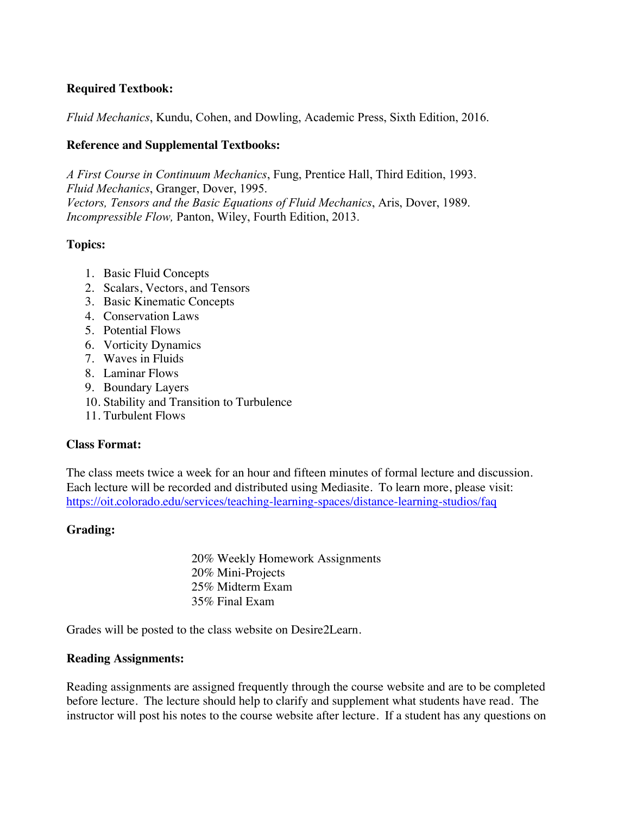## **Required Textbook:**

*Fluid Mechanics*, Kundu, Cohen, and Dowling, Academic Press, Sixth Edition, 2016.

### **Reference and Supplemental Textbooks:**

*A First Course in Continuum Mechanics*, Fung, Prentice Hall, Third Edition, 1993. *Fluid Mechanics*, Granger, Dover, 1995. *Vectors, Tensors and the Basic Equations of Fluid Mechanics*, Aris, Dover, 1989. *Incompressible Flow,* Panton, Wiley, Fourth Edition, 2013.

### **Topics:**

- 1. Basic Fluid Concepts
- 2. Scalars, Vectors, and Tensors
- 3. Basic Kinematic Concepts
- 4. Conservation Laws
- 5. Potential Flows
- 6. Vorticity Dynamics
- 7. Waves in Fluids
- 8. Laminar Flows
- 9. Boundary Layers
- 10. Stability and Transition to Turbulence
- 11. Turbulent Flows

#### **Class Format:**

The class meets twice a week for an hour and fifteen minutes of formal lecture and discussion. Each lecture will be recorded and distributed using Mediasite. To learn more, please visit: https://oit.colorado.edu/services/teaching-learning-spaces/distance-learning-studios/faq

## **Grading:**

20% Weekly Homework Assignments 20% Mini-Projects 25% Midterm Exam 35% Final Exam

Grades will be posted to the class website on Desire2Learn.

#### **Reading Assignments:**

Reading assignments are assigned frequently through the course website and are to be completed before lecture. The lecture should help to clarify and supplement what students have read. The instructor will post his notes to the course website after lecture. If a student has any questions on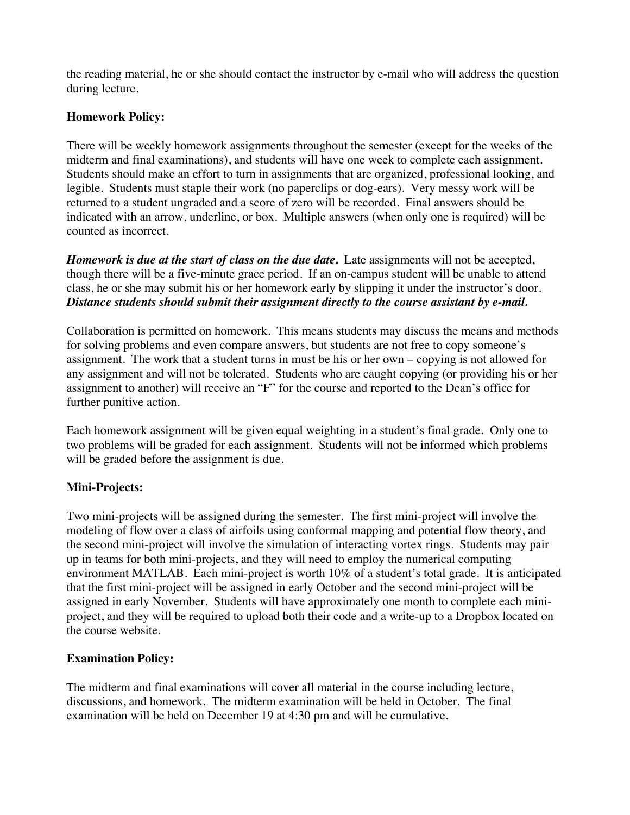the reading material, he or she should contact the instructor by e-mail who will address the question during lecture.

## **Homework Policy:**

There will be weekly homework assignments throughout the semester (except for the weeks of the midterm and final examinations), and students will have one week to complete each assignment. Students should make an effort to turn in assignments that are organized, professional looking, and legible. Students must staple their work (no paperclips or dog-ears). Very messy work will be returned to a student ungraded and a score of zero will be recorded. Final answers should be indicated with an arrow, underline, or box. Multiple answers (when only one is required) will be counted as incorrect.

*Homework is due at the start of class on the due date***.** Late assignments will not be accepted, though there will be a five-minute grace period. If an on-campus student will be unable to attend class, he or she may submit his or her homework early by slipping it under the instructor's door. *Distance students should submit their assignment directly to the course assistant by e-mail.*

Collaboration is permitted on homework. This means students may discuss the means and methods for solving problems and even compare answers, but students are not free to copy someone's assignment. The work that a student turns in must be his or her own – copying is not allowed for any assignment and will not be tolerated. Students who are caught copying (or providing his or her assignment to another) will receive an "F" for the course and reported to the Dean's office for further punitive action.

Each homework assignment will be given equal weighting in a student's final grade. Only one to two problems will be graded for each assignment. Students will not be informed which problems will be graded before the assignment is due.

## **Mini-Projects:**

Two mini-projects will be assigned during the semester. The first mini-project will involve the modeling of flow over a class of airfoils using conformal mapping and potential flow theory, and the second mini-project will involve the simulation of interacting vortex rings. Students may pair up in teams for both mini-projects, and they will need to employ the numerical computing environment MATLAB. Each mini-project is worth 10% of a student's total grade. It is anticipated that the first mini-project will be assigned in early October and the second mini-project will be assigned in early November. Students will have approximately one month to complete each miniproject, and they will be required to upload both their code and a write-up to a Dropbox located on the course website.

# **Examination Policy:**

The midterm and final examinations will cover all material in the course including lecture, discussions, and homework. The midterm examination will be held in October. The final examination will be held on December 19 at 4:30 pm and will be cumulative.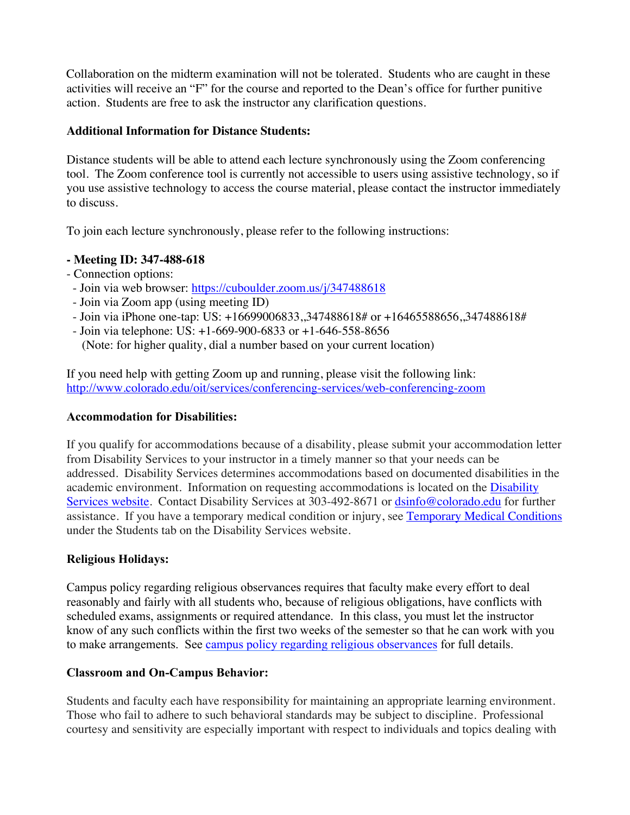Collaboration on the midterm examination will not be tolerated. Students who are caught in these activities will receive an "F" for the course and reported to the Dean's office for further punitive action. Students are free to ask the instructor any clarification questions.

## **Additional Information for Distance Students:**

Distance students will be able to attend each lecture synchronously using the Zoom conferencing tool. The Zoom conference tool is currently not accessible to users using assistive technology, so if you use assistive technology to access the course material, please contact the instructor immediately to discuss.

To join each lecture synchronously, please refer to the following instructions:

## **- Meeting ID: 347-488-618**

- Connection options:
- Join via web browser: https://cuboulder.zoom.us/j/347488618
- Join via Zoom app (using meeting ID)
- Join via iPhone one-tap: US: +16699006833,,347488618# or +16465588656,,347488618#
- Join via telephone: US: +1-669-900-6833 or +1-646-558-8656

(Note: for higher quality, dial a number based on your current location)

If you need help with getting Zoom up and running, please visit the following link: http://www.colorado.edu/oit/services/conferencing-services/web-conferencing-zoom

## **Accommodation for Disabilities:**

If you qualify for accommodations because of a disability, please submit your accommodation letter from Disability Services to your instructor in a timely manner so that your needs can be addressed. Disability Services determines accommodations based on documented disabilities in the academic environment. Information on requesting accommodations is located on the Disability Services website. Contact Disability Services at 303-492-8671 or dsinfo@colorado.edu for further assistance. If you have a temporary medical condition or injury, see Temporary Medical Conditions under the Students tab on the Disability Services website.

# **Religious Holidays:**

Campus policy regarding religious observances requires that faculty make every effort to deal reasonably and fairly with all students who, because of religious obligations, have conflicts with scheduled exams, assignments or required attendance. In this class, you must let the instructor know of any such conflicts within the first two weeks of the semester so that he can work with you to make arrangements. See campus policy regarding religious observances for full details.

# **Classroom and On-Campus Behavior:**

Students and faculty each have responsibility for maintaining an appropriate learning environment. Those who fail to adhere to such behavioral standards may be subject to discipline. Professional courtesy and sensitivity are especially important with respect to individuals and topics dealing with